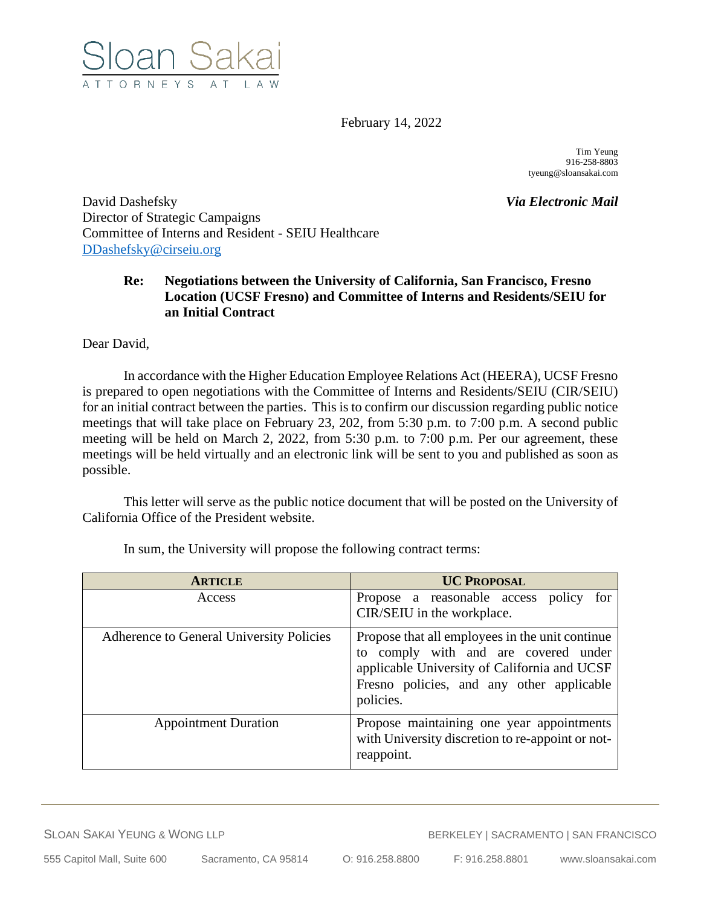

February 14, 2022

Tim Yeung 916-258-8803 tyeung@sloansakai.com

David Dashefsky *Via Electronic Mail* Director of Strategic Campaigns Committee of Interns and Resident - SEIU Healthcare [DDashefsky@cirseiu.org](mailto:DDashefsky@cirseiu.org)

## **Re: Negotiations between the University of California, San Francisco, Fresno Location (UCSF Fresno) and Committee of Interns and Residents/SEIU for an Initial Contract**

Dear David,

In accordance with the Higher Education Employee Relations Act (HEERA), UCSF Fresno is prepared to open negotiations with the Committee of Interns and Residents/SEIU (CIR/SEIU) for an initial contract between the parties. This is to confirm our discussion regarding public notice meetings that will take place on February 23, 202, from 5:30 p.m. to 7:00 p.m. A second public meeting will be held on March 2, 2022, from 5:30 p.m. to 7:00 p.m. Per our agreement, these meetings will be held virtually and an electronic link will be sent to you and published as soon as possible.

This letter will serve as the public notice document that will be posted on the University of California Office of the President website.

| <b>ARTICLE</b>                           | <b>UC PROPOSAL</b>                                                                                                                                                                                |
|------------------------------------------|---------------------------------------------------------------------------------------------------------------------------------------------------------------------------------------------------|
| Access                                   | Propose a reasonable access policy<br>for<br>CIR/SEIU in the workplace.                                                                                                                           |
| Adherence to General University Policies | Propose that all employees in the unit continue<br>to comply with and are covered under<br>applicable University of California and UCSF<br>Fresno policies, and any other applicable<br>policies. |
| <b>Appointment Duration</b>              | Propose maintaining one year appointments<br>with University discretion to re-appoint or not-<br>reappoint.                                                                                       |

In sum, the University will propose the following contract terms: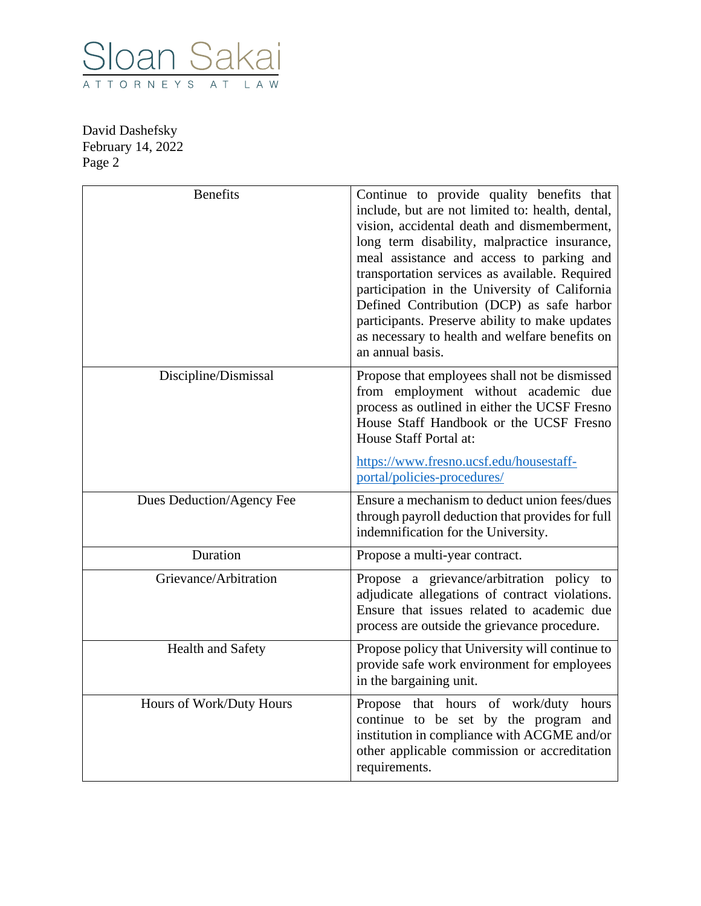

| <b>Benefits</b>           | Continue to provide quality benefits that<br>include, but are not limited to: health, dental,<br>vision, accidental death and dismemberment,<br>long term disability, malpractice insurance,<br>meal assistance and access to parking and<br>transportation services as available. Required<br>participation in the University of California<br>Defined Contribution (DCP) as safe harbor<br>participants. Preserve ability to make updates<br>as necessary to health and welfare benefits on<br>an annual basis. |
|---------------------------|-------------------------------------------------------------------------------------------------------------------------------------------------------------------------------------------------------------------------------------------------------------------------------------------------------------------------------------------------------------------------------------------------------------------------------------------------------------------------------------------------------------------|
| Discipline/Dismissal      | Propose that employees shall not be dismissed<br>from employment without academic due<br>process as outlined in either the UCSF Fresno<br>House Staff Handbook or the UCSF Fresno<br>House Staff Portal at:                                                                                                                                                                                                                                                                                                       |
|                           | https://www.fresno.ucsf.edu/housestaff-<br>portal/policies-procedures/                                                                                                                                                                                                                                                                                                                                                                                                                                            |
| Dues Deduction/Agency Fee | Ensure a mechanism to deduct union fees/dues<br>through payroll deduction that provides for full<br>indemnification for the University.                                                                                                                                                                                                                                                                                                                                                                           |
| Duration                  | Propose a multi-year contract.                                                                                                                                                                                                                                                                                                                                                                                                                                                                                    |
| Grievance/Arbitration     | Propose a grievance/arbitration policy to<br>adjudicate allegations of contract violations.<br>Ensure that issues related to academic due<br>process are outside the grievance procedure.                                                                                                                                                                                                                                                                                                                         |
| <b>Health and Safety</b>  | Propose policy that University will continue to<br>provide safe work environment for employees<br>in the bargaining unit.                                                                                                                                                                                                                                                                                                                                                                                         |
| Hours of Work/Duty Hours  | that hours of work/duty hours<br>Propose<br>continue to be set by the program and<br>institution in compliance with ACGME and/or<br>other applicable commission or accreditation<br>requirements.                                                                                                                                                                                                                                                                                                                 |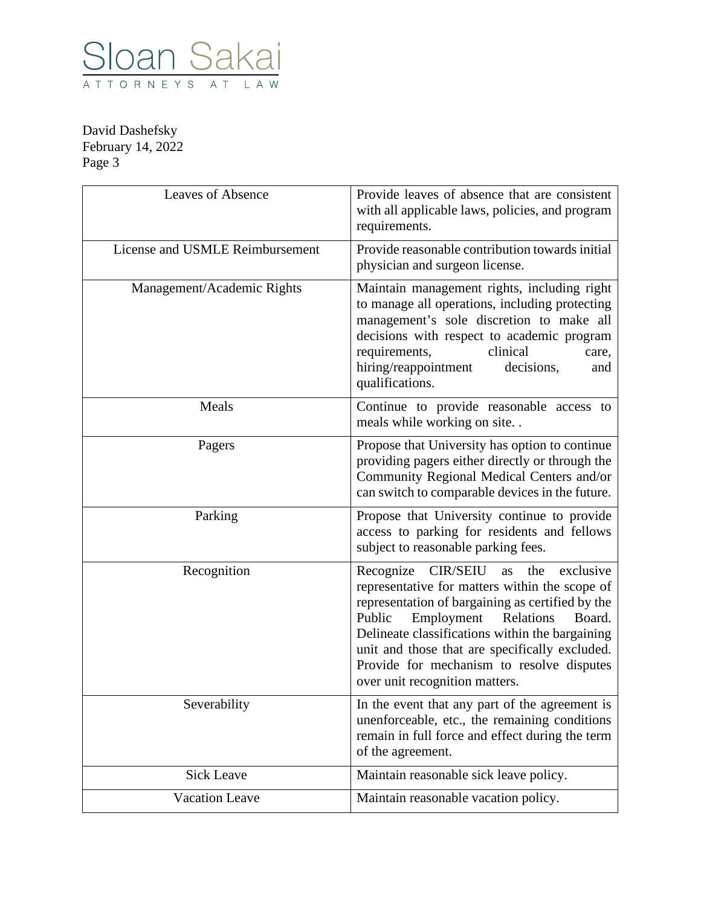

| <b>Leaves of Absence</b>        | Provide leaves of absence that are consistent<br>with all applicable laws, policies, and program<br>requirements.                                                                                                                                                                                                                                                                  |
|---------------------------------|------------------------------------------------------------------------------------------------------------------------------------------------------------------------------------------------------------------------------------------------------------------------------------------------------------------------------------------------------------------------------------|
| License and USMLE Reimbursement | Provide reasonable contribution towards initial<br>physician and surgeon license.                                                                                                                                                                                                                                                                                                  |
| Management/Academic Rights      | Maintain management rights, including right<br>to manage all operations, including protecting<br>management's sole discretion to make all<br>decisions with respect to academic program<br>clinical<br>requirements,<br>care,<br>hiring/reappointment<br>decisions,<br>and<br>qualifications.                                                                                      |
| Meals                           | Continue to provide reasonable access to<br>meals while working on site                                                                                                                                                                                                                                                                                                            |
| Pagers                          | Propose that University has option to continue<br>providing pagers either directly or through the<br>Community Regional Medical Centers and/or<br>can switch to comparable devices in the future.                                                                                                                                                                                  |
| Parking                         | Propose that University continue to provide<br>access to parking for residents and fellows<br>subject to reasonable parking fees.                                                                                                                                                                                                                                                  |
| Recognition                     | Recognize CIR/SEIU<br>exclusive<br>as the<br>representative for matters within the scope of<br>representation of bargaining as certified by the<br>Public<br>Employment<br>Relations<br>Board.<br>Delineate classifications within the bargaining<br>unit and those that are specifically excluded.<br>Provide for mechanism to resolve disputes<br>over unit recognition matters. |
| Severability                    | In the event that any part of the agreement is<br>unenforceable, etc., the remaining conditions<br>remain in full force and effect during the term<br>of the agreement.                                                                                                                                                                                                            |
| <b>Sick Leave</b>               | Maintain reasonable sick leave policy.                                                                                                                                                                                                                                                                                                                                             |
| <b>Vacation Leave</b>           | Maintain reasonable vacation policy.                                                                                                                                                                                                                                                                                                                                               |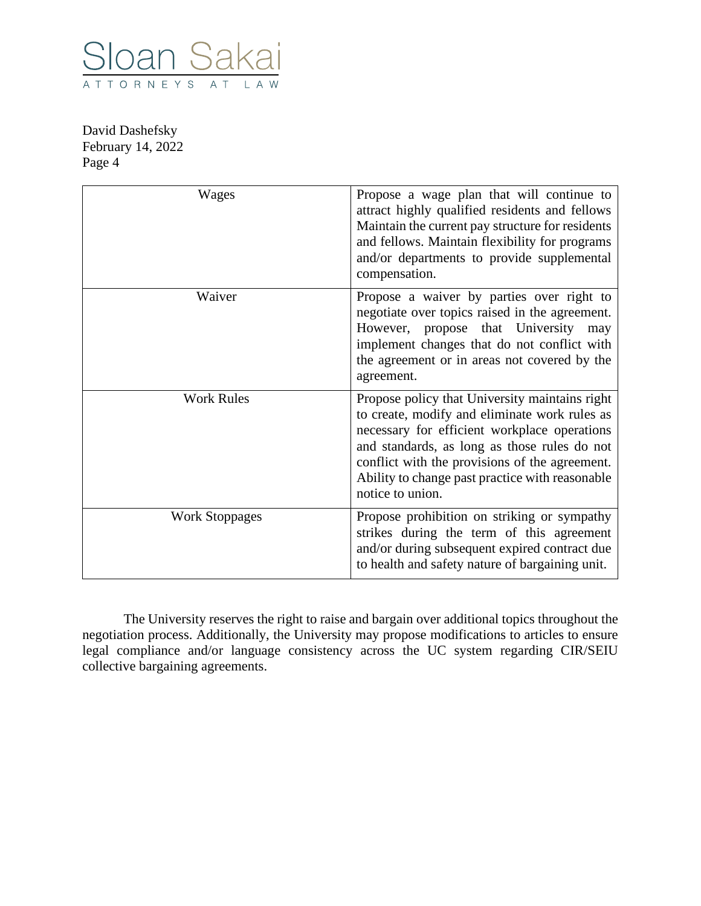

| Wages                 | Propose a wage plan that will continue to<br>attract highly qualified residents and fellows<br>Maintain the current pay structure for residents<br>and fellows. Maintain flexibility for programs<br>and/or departments to provide supplemental<br>compensation.                                                         |
|-----------------------|--------------------------------------------------------------------------------------------------------------------------------------------------------------------------------------------------------------------------------------------------------------------------------------------------------------------------|
| Waiver                | Propose a waiver by parties over right to<br>negotiate over topics raised in the agreement.<br>However, propose that University<br>may<br>implement changes that do not conflict with<br>the agreement or in areas not covered by the<br>agreement.                                                                      |
| <b>Work Rules</b>     | Propose policy that University maintains right<br>to create, modify and eliminate work rules as<br>necessary for efficient workplace operations<br>and standards, as long as those rules do not<br>conflict with the provisions of the agreement.<br>Ability to change past practice with reasonable<br>notice to union. |
| <b>Work Stoppages</b> | Propose prohibition on striking or sympathy<br>strikes during the term of this agreement<br>and/or during subsequent expired contract due<br>to health and safety nature of bargaining unit.                                                                                                                             |

The University reserves the right to raise and bargain over additional topics throughout the negotiation process. Additionally, the University may propose modifications to articles to ensure legal compliance and/or language consistency across the UC system regarding CIR/SEIU collective bargaining agreements.